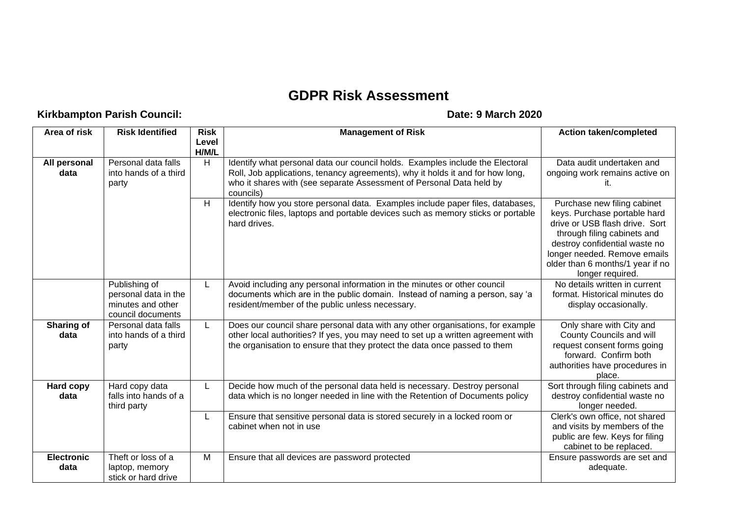## **GDPR Risk Assessment**

## **Kirkbampton Parish Council: Date: 9 March 2020**

| Area of risk              | <b>Risk Identified</b>                                                          | <b>Risk</b><br>Level<br>H/M/L | <b>Management of Risk</b>                                                                                                                                                                                                                            | <b>Action taken/completed</b>                                                                                                                                                                                                                         |
|---------------------------|---------------------------------------------------------------------------------|-------------------------------|------------------------------------------------------------------------------------------------------------------------------------------------------------------------------------------------------------------------------------------------------|-------------------------------------------------------------------------------------------------------------------------------------------------------------------------------------------------------------------------------------------------------|
| All personal<br>data      | Personal data falls<br>into hands of a third<br>party                           | H                             | Identify what personal data our council holds. Examples include the Electoral<br>Roll, Job applications, tenancy agreements), why it holds it and for how long,<br>who it shares with (see separate Assessment of Personal Data held by<br>councils) | Data audit undertaken and<br>ongoing work remains active on<br>it.                                                                                                                                                                                    |
|                           |                                                                                 | $\overline{H}$                | Identify how you store personal data. Examples include paper files, databases,<br>electronic files, laptops and portable devices such as memory sticks or portable<br>hard drives.                                                                   | Purchase new filing cabinet<br>keys. Purchase portable hard<br>drive or USB flash drive. Sort<br>through filing cabinets and<br>destroy confidential waste no<br>longer needed. Remove emails<br>older than 6 months/1 year if no<br>longer required. |
|                           | Publishing of<br>personal data in the<br>minutes and other<br>council documents | L                             | Avoid including any personal information in the minutes or other council<br>documents which are in the public domain. Instead of naming a person, say 'a<br>resident/member of the public unless necessary.                                          | No details written in current<br>format. Historical minutes do<br>display occasionally.                                                                                                                                                               |
| Sharing of<br>data        | Personal data falls<br>into hands of a third<br>party                           | L                             | Does our council share personal data with any other organisations, for example<br>other local authorities? If yes, you may need to set up a written agreement with<br>the organisation to ensure that they protect the data once passed to them      | Only share with City and<br>County Councils and will<br>request consent forms going<br>forward. Confirm both<br>authorities have procedures in<br>place.                                                                                              |
| Hard copy<br>data         | Hard copy data<br>falls into hands of a<br>third party                          | L                             | Decide how much of the personal data held is necessary. Destroy personal<br>data which is no longer needed in line with the Retention of Documents policy                                                                                            | Sort through filing cabinets and<br>destroy confidential waste no<br>longer needed.                                                                                                                                                                   |
|                           |                                                                                 | L                             | Ensure that sensitive personal data is stored securely in a locked room or<br>cabinet when not in use                                                                                                                                                | Clerk's own office, not shared<br>and visits by members of the<br>public are few. Keys for filing<br>cabinet to be replaced.                                                                                                                          |
| <b>Electronic</b><br>data | Theft or loss of a<br>laptop, memory<br>stick or hard drive                     | M                             | Ensure that all devices are password protected                                                                                                                                                                                                       | Ensure passwords are set and<br>adequate.                                                                                                                                                                                                             |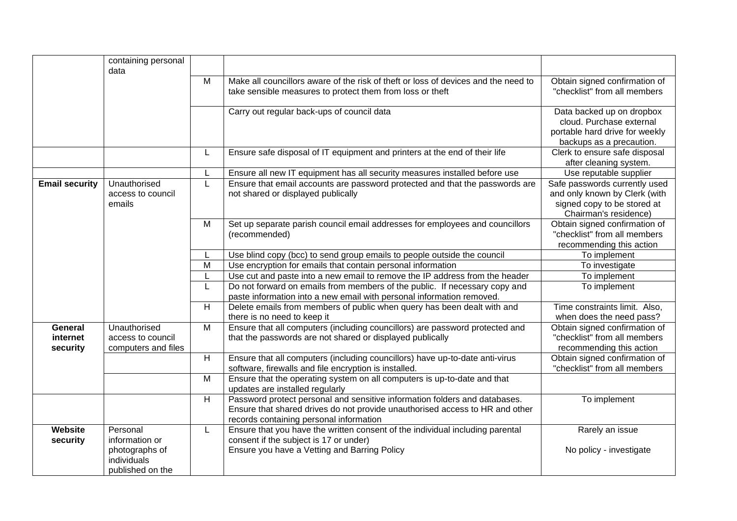|                                 | containing personal<br>data                                         |   |                                                                                                                                                                                                       |                                                                                                                        |
|---------------------------------|---------------------------------------------------------------------|---|-------------------------------------------------------------------------------------------------------------------------------------------------------------------------------------------------------|------------------------------------------------------------------------------------------------------------------------|
|                                 |                                                                     | M | Make all councillors aware of the risk of theft or loss of devices and the need to<br>take sensible measures to protect them from loss or theft                                                       | Obtain signed confirmation of<br>"checklist" from all members                                                          |
|                                 |                                                                     |   | Carry out regular back-ups of council data                                                                                                                                                            | Data backed up on dropbox<br>cloud. Purchase external<br>portable hard drive for weekly<br>backups as a precaution.    |
|                                 |                                                                     | L | Ensure safe disposal of IT equipment and printers at the end of their life                                                                                                                            | Clerk to ensure safe disposal<br>after cleaning system.                                                                |
|                                 |                                                                     |   | Ensure all new IT equipment has all security measures installed before use                                                                                                                            | Use reputable supplier                                                                                                 |
| <b>Email security</b>           | Unauthorised<br>access to council<br>emails                         | L | Ensure that email accounts are password protected and that the passwords are<br>not shared or displayed publically                                                                                    | Safe passwords currently used<br>and only known by Clerk (with<br>signed copy to be stored at<br>Chairman's residence) |
|                                 |                                                                     | M | Set up separate parish council email addresses for employees and councillors<br>(recommended)                                                                                                         | Obtain signed confirmation of<br>"checklist" from all members<br>recommending this action                              |
|                                 |                                                                     |   | Use blind copy (bcc) to send group emails to people outside the council                                                                                                                               | To implement                                                                                                           |
|                                 |                                                                     | M | Use encryption for emails that contain personal information                                                                                                                                           | To investigate                                                                                                         |
|                                 |                                                                     | L | Use cut and paste into a new email to remove the IP address from the header                                                                                                                           | To implement                                                                                                           |
|                                 |                                                                     | L | Do not forward on emails from members of the public. If necessary copy and<br>paste information into a new email with personal information removed.                                                   | To implement                                                                                                           |
|                                 |                                                                     | H | Delete emails from members of public when query has been dealt with and<br>there is no need to keep it                                                                                                | Time constraints limit. Also,<br>when does the need pass?                                                              |
| General<br>internet<br>security | Unauthorised<br>access to council<br>computers and files            | M | Ensure that all computers (including councillors) are password protected and<br>that the passwords are not shared or displayed publically                                                             | Obtain signed confirmation of<br>"checklist" from all members<br>recommending this action                              |
|                                 |                                                                     | H | Ensure that all computers (including councillors) have up-to-date anti-virus<br>software, firewalls and file encryption is installed.                                                                 | Obtain signed confirmation of<br>"checklist" from all members                                                          |
|                                 |                                                                     | M | Ensure that the operating system on all computers is up-to-date and that<br>updates are installed regularly                                                                                           |                                                                                                                        |
|                                 |                                                                     | H | Password protect personal and sensitive information folders and databases.<br>Ensure that shared drives do not provide unauthorised access to HR and other<br>records containing personal information | To implement                                                                                                           |
| Website                         | Personal                                                            | L | Ensure that you have the written consent of the individual including parental                                                                                                                         | Rarely an issue                                                                                                        |
| security                        | information or<br>photographs of<br>individuals<br>published on the |   | consent if the subject is 17 or under)<br>Ensure you have a Vetting and Barring Policy                                                                                                                | No policy - investigate                                                                                                |